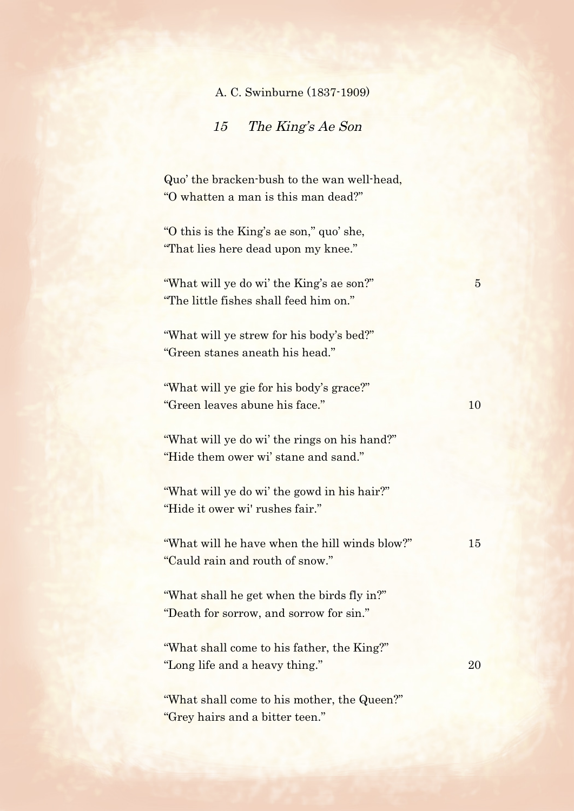A. C. Swinburne (1837-1909)

15 The King's Ae Son

Quo' the bracken-bush to the wan well-head, "O whatten a man is this man dead?"

"O this is the King's ae son," quo' she, "That lies here dead upon my knee."

"What will ye do wi' the King's ae son?" 5 "The little fishes shall feed him on."

"What will ye strew for his body's bed?" "Green stanes aneath his head."

"What will ye gie for his body's grace?" "Green leaves abune his face." 10

"What will ye do wi' the rings on his hand?" "Hide them ower wi' stane and sand."

"What will ye do wi' the gowd in his hair?" "Hide it ower wi' rushes fair."

"What will he have when the hill winds blow?" 15 "Cauld rain and routh of snow."

"What shall he get when the birds fly in?" "Death for sorrow, and sorrow for sin."

"What shall come to his father, the King?" "Long life and a heavy thing." 20

"What shall come to his mother, the Queen?" "Grey hairs and a bitter teen."